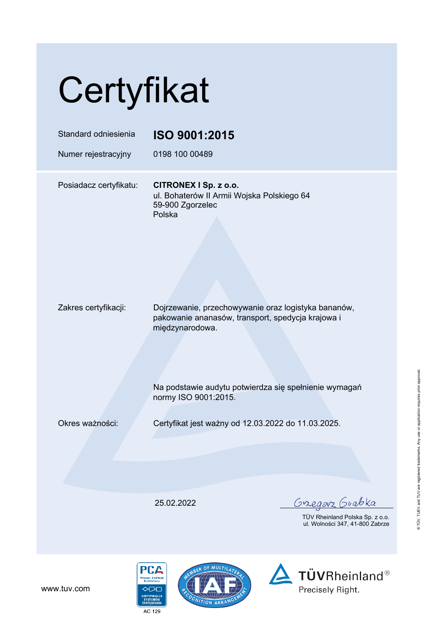## Certyfikat

| Standard odniesienia<br>Numer rejestracyjny | ISO 9001:2015<br>0198 100 00489                                                                                                                                                                              |                                                                                 |
|---------------------------------------------|--------------------------------------------------------------------------------------------------------------------------------------------------------------------------------------------------------------|---------------------------------------------------------------------------------|
| Posiadacz certyfikatu:                      | CITRONEX I Sp. z o.o.<br>ul. Bohaterów II Armii Wojska Polskiego 64<br>59-900 Zgorzelec<br>Polska                                                                                                            |                                                                                 |
| Zakres certyfikacji:                        | Dojrzewanie, przechowywanie oraz logistyka bananów,<br>pakowanie ananasów, transport, spedycja krajowa i<br>międzynarodowa.<br>Na podstawie audytu potwierdza się spełnienie wymagań<br>normy ISO 9001:2015. |                                                                                 |
| Okres ważności:                             | Certyfikat jest ważny od 12.03.2022 do 11.03.2025.                                                                                                                                                           |                                                                                 |
|                                             |                                                                                                                                                                                                              |                                                                                 |
|                                             | 25.02.2022                                                                                                                                                                                                   | <u>Gregorz</u> Guabka<br>TÜV Rheinland Polska Sp.<br>ul. Wolności 347, 41-800 Z |

 $Z$  0.0. Zabrze



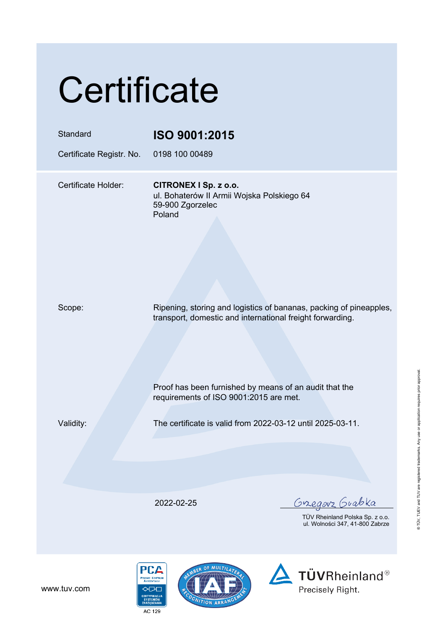## **Certificate**

| Standard                 | ISO 9001:2015                                                                                                                   |
|--------------------------|---------------------------------------------------------------------------------------------------------------------------------|
| Certificate Registr. No. | 0198 100 00489                                                                                                                  |
| Certificate Holder:      | CITRONEX I Sp. z o.o.<br>ul. Bohaterów II Armii Wojska Polskiego 64<br>59-900 Zgorzelec<br>Poland                               |
| Scope:                   | Ripening, storing and logistics of bananas, packing of pineapples,<br>transport, domestic and international freight forwarding. |
|                          | Proof has been furnished by means of an audit that the<br>requirements of ISO 9001:2015 are met.                                |
| Validity:                | The certificate is valid from 2022-03-12 until 2025-03-11.                                                                      |
|                          |                                                                                                                                 |
|                          | <u>Gregorz</u> Guabka<br>2022-02-25<br>TÜV Rheinland Polska Sp. z o.o.<br>ul. Wolności 347, 41-800 Zabrze                       |
|                          |                                                                                                                                 |

www.tuv.com